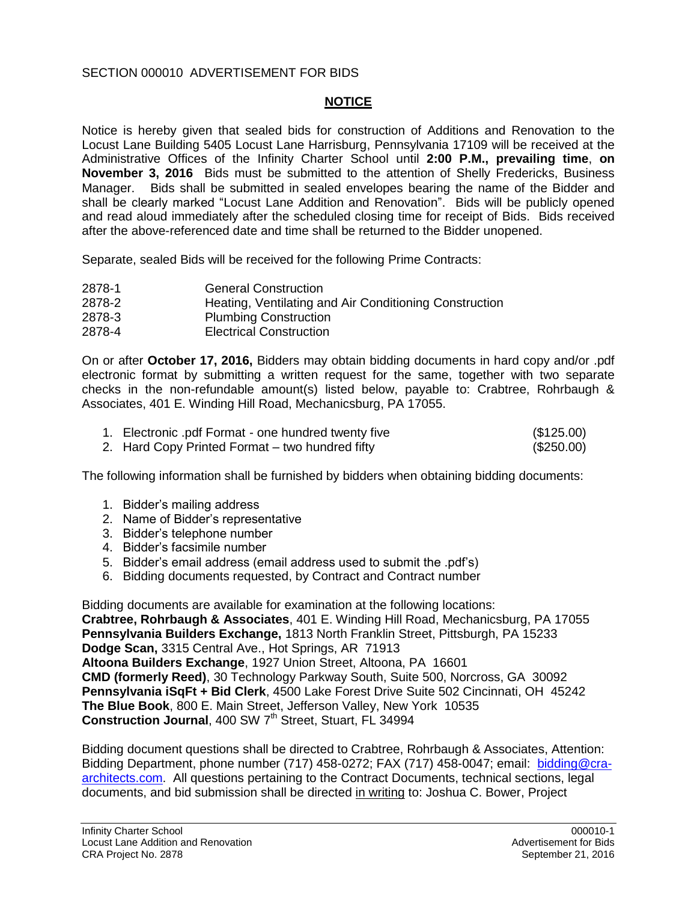## SECTION 000010 ADVERTISEMENT FOR BIDS

## **NOTICE**

Notice is hereby given that sealed bids for construction of Additions and Renovation to the Locust Lane Building 5405 Locust Lane Harrisburg, Pennsylvania 17109 will be received at the Administrative Offices of the Infinity Charter School until **2:00 P.M., prevailing time**, **on November 3, 2016** Bids must be submitted to the attention of Shelly Fredericks, Business Manager. Bids shall be submitted in sealed envelopes bearing the name of the Bidder and shall be clearly marked "Locust Lane Addition and Renovation". Bids will be publicly opened and read aloud immediately after the scheduled closing time for receipt of Bids. Bids received after the above-referenced date and time shall be returned to the Bidder unopened.

Separate, sealed Bids will be received for the following Prime Contracts:

| <b>General Construction</b>                            |
|--------------------------------------------------------|
| Heating, Ventilating and Air Conditioning Construction |
| <b>Plumbing Construction</b>                           |
| <b>Electrical Construction</b>                         |
|                                                        |

On or after **October 17, 2016,** Bidders may obtain bidding documents in hard copy and/or .pdf electronic format by submitting a written request for the same, together with two separate checks in the non-refundable amount(s) listed below, payable to: Crabtree, Rohrbaugh & Associates, 401 E. Winding Hill Road, Mechanicsburg, PA 17055.

| 1. Electronic pdf Format - one hundred twenty five | (\$125.00) |
|----------------------------------------------------|------------|
| 2. Hard Copy Printed Format – two hundred fifty    | (\$250.00) |

The following information shall be furnished by bidders when obtaining bidding documents:

- 1. Bidder's mailing address
- 2. Name of Bidder's representative
- 3. Bidder's telephone number
- 4. Bidder's facsimile number
- 5. Bidder's email address (email address used to submit the .pdf's)
- 6. Bidding documents requested, by Contract and Contract number

Bidding documents are available for examination at the following locations: **Crabtree, Rohrbaugh & Associates**, 401 E. Winding Hill Road, Mechanicsburg, PA 17055 **Pennsylvania Builders Exchange,** 1813 North Franklin Street, Pittsburgh, PA 15233 **Dodge Scan,** 3315 Central Ave., Hot Springs, AR 71913 **Altoona Builders Exchange**, 1927 Union Street, Altoona, PA 16601 **CMD (formerly Reed)**, 30 Technology Parkway South, Suite 500, Norcross, GA 30092 **Pennsylvania iSqFt + Bid Clerk**, 4500 Lake Forest Drive Suite 502 Cincinnati, OH 45242 **The Blue Book**, 800 E. Main Street, Jefferson Valley, New York 10535 **Construction Journal, 400 SW 7<sup>th</sup> Street, Stuart, FL 34994** 

Bidding document questions shall be directed to Crabtree, Rohrbaugh & Associates, Attention: Bidding Department, phone number (717) 458-0272; FAX (717) 458-0047; email: [bidding@cra](mailto:bidding@cra-architects.com)[architects.com.](mailto:bidding@cra-architects.com) All questions pertaining to the Contract Documents, technical sections, legal documents, and bid submission shall be directed in writing to: Joshua C. Bower, Project